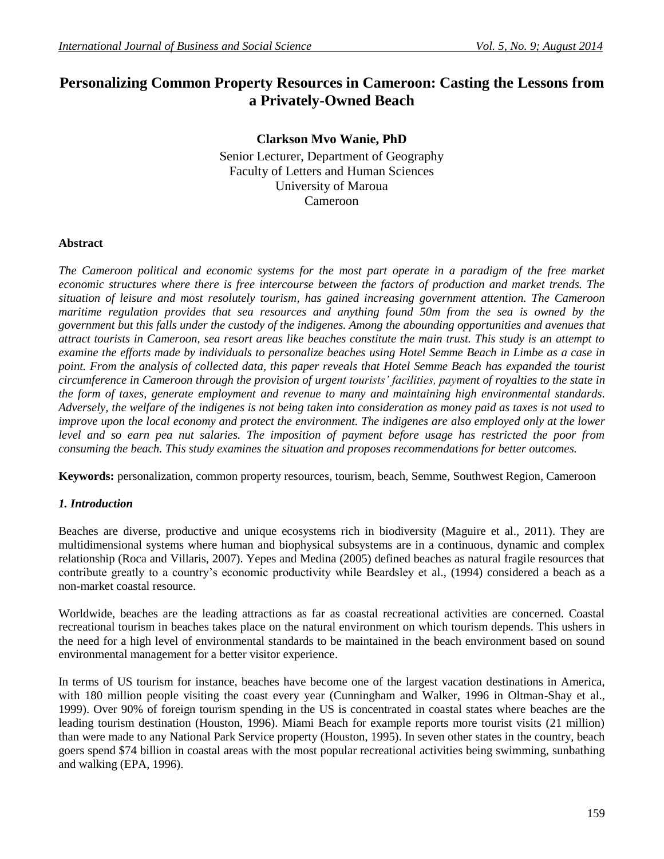# **Personalizing Common Property Resources in Cameroon: Casting the Lessons from a Privately-Owned Beach**

**Clarkson Mvo Wanie, PhD** Senior Lecturer, Department of Geography Faculty of Letters and Human Sciences University of Maroua Cameroon

### **Abstract**

*The Cameroon political and economic systems for the most part operate in a paradigm of the free market economic structures where there is free intercourse between the factors of production and market trends. The situation of leisure and most resolutely tourism, has gained increasing government attention. The Cameroon maritime regulation provides that sea resources and anything found 50m from the sea is owned by the government but this falls under the custody of the indigenes. Among the abounding opportunities and avenues that attract tourists in Cameroon, sea resort areas like beaches constitute the main trust. This study is an attempt to examine the efforts made by individuals to personalize beaches using Hotel Semme Beach in Limbe as a case in point. From the analysis of collected data, this paper reveals that Hotel Semme Beach has expanded the tourist circumference in Cameroon through the provision of urgent tourists' facilities, payment of royalties to the state in the form of taxes, generate employment and revenue to many and maintaining high environmental standards. Adversely, the welfare of the indigenes is not being taken into consideration as money paid as taxes is not used to improve upon the local economy and protect the environment. The indigenes are also employed only at the lower* level and so earn pea nut salaries. The imposition of payment before usage has restricted the poor from *consuming the beach. This study examines the situation and proposes recommendations for better outcomes.* 

**Keywords:** personalization, common property resources, tourism, beach, Semme, Southwest Region, Cameroon

#### *1. Introduction*

Beaches are diverse, productive and unique ecosystems rich in biodiversity (Maguire et al., 2011). They are multidimensional systems where human and biophysical subsystems are in a continuous, dynamic and complex relationship (Roca and Villaris, 2007). Yepes and Medina (2005) defined beaches as natural fragile resources that contribute greatly to a country's economic productivity while Beardsley et al., (1994) considered a beach as a non-market coastal resource.

Worldwide, beaches are the leading attractions as far as coastal recreational activities are concerned. Coastal recreational tourism in beaches takes place on the natural environment on which tourism depends. This ushers in the need for a high level of environmental standards to be maintained in the beach environment based on sound environmental management for a better visitor experience.

In terms of US tourism for instance, beaches have become one of the largest vacation destinations in America, with 180 million people visiting the coast every year (Cunningham and Walker, 1996 in Oltman-Shay et al., 1999). Over 90% of foreign tourism spending in the US is concentrated in coastal states where beaches are the leading tourism destination (Houston, 1996). Miami Beach for example reports more tourist visits (21 million) than were made to any National Park Service property (Houston, 1995). In seven other states in the country, beach goers spend \$74 billion in coastal areas with the most popular recreational activities being swimming, sunbathing and walking (EPA, 1996).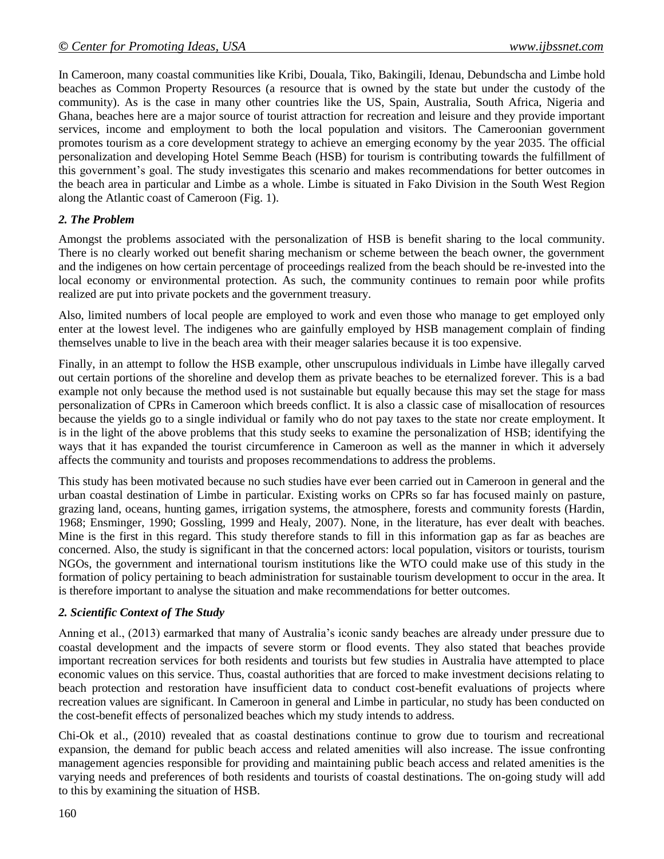In Cameroon, many coastal communities like Kribi, Douala, Tiko, Bakingili, Idenau, Debundscha and Limbe hold beaches as Common Property Resources (a resource that is owned by the state but under the custody of the community). As is the case in many other countries like the US, Spain, Australia, South Africa, Nigeria and Ghana, beaches here are a major source of tourist attraction for recreation and leisure and they provide important services, income and employment to both the local population and visitors. The Cameroonian government promotes tourism as a core development strategy to achieve an emerging economy by the year 2035. The official personalization and developing Hotel Semme Beach (HSB) for tourism is contributing towards the fulfillment of this government's goal. The study investigates this scenario and makes recommendations for better outcomes in the beach area in particular and Limbe as a whole. Limbe is situated in Fako Division in the South West Region along the Atlantic coast of Cameroon (Fig. 1).

### *2. The Problem*

Amongst the problems associated with the personalization of HSB is benefit sharing to the local community. There is no clearly worked out benefit sharing mechanism or scheme between the beach owner, the government and the indigenes on how certain percentage of proceedings realized from the beach should be re-invested into the local economy or environmental protection. As such, the community continues to remain poor while profits realized are put into private pockets and the government treasury.

Also, limited numbers of local people are employed to work and even those who manage to get employed only enter at the lowest level. The indigenes who are gainfully employed by HSB management complain of finding themselves unable to live in the beach area with their meager salaries because it is too expensive.

Finally, in an attempt to follow the HSB example, other unscrupulous individuals in Limbe have illegally carved out certain portions of the shoreline and develop them as private beaches to be eternalized forever. This is a bad example not only because the method used is not sustainable but equally because this may set the stage for mass personalization of CPRs in Cameroon which breeds conflict. It is also a classic case of misallocation of resources because the yields go to a single individual or family who do not pay taxes to the state nor create employment. It is in the light of the above problems that this study seeks to examine the personalization of HSB; identifying the ways that it has expanded the tourist circumference in Cameroon as well as the manner in which it adversely affects the community and tourists and proposes recommendations to address the problems.

This study has been motivated because no such studies have ever been carried out in Cameroon in general and the urban coastal destination of Limbe in particular. Existing works on CPRs so far has focused mainly on pasture, grazing land, oceans, hunting games, irrigation systems, the atmosphere, forests and community forests (Hardin, 1968; Ensminger, 1990; Gossling, 1999 and Healy, 2007). None, in the literature, has ever dealt with beaches. Mine is the first in this regard. This study therefore stands to fill in this information gap as far as beaches are concerned. Also, the study is significant in that the concerned actors: local population, visitors or tourists, tourism NGOs, the government and international tourism institutions like the WTO could make use of this study in the formation of policy pertaining to beach administration for sustainable tourism development to occur in the area. It is therefore important to analyse the situation and make recommendations for better outcomes.

### *2. Scientific Context of The Study*

Anning et al., (2013) earmarked that many of Australia's iconic sandy beaches are already under pressure due to coastal development and the impacts of severe storm or flood events. They also stated that beaches provide important recreation services for both residents and tourists but few studies in Australia have attempted to place economic values on this service. Thus, coastal authorities that are forced to make investment decisions relating to beach protection and restoration have insufficient data to conduct cost-benefit evaluations of projects where recreation values are significant. In Cameroon in general and Limbe in particular, no study has been conducted on the cost-benefit effects of personalized beaches which my study intends to address.

Chi-Ok et al., (2010) revealed that as coastal destinations continue to grow due to tourism and recreational expansion, the demand for public beach access and related amenities will also increase. The issue confronting management agencies responsible for providing and maintaining public beach access and related amenities is the varying needs and preferences of both residents and tourists of coastal destinations. The on-going study will add to this by examining the situation of HSB.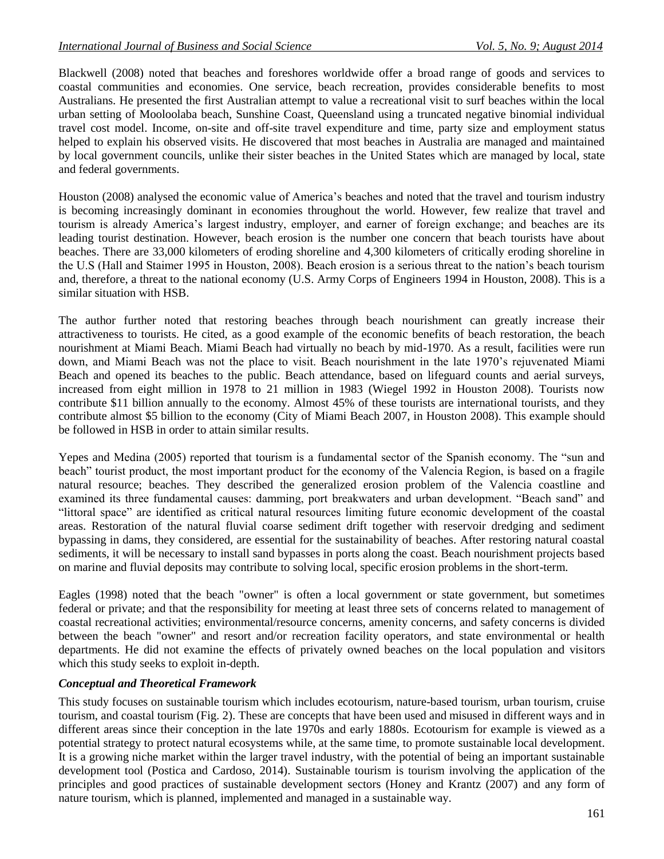Blackwell (2008) noted that beaches and foreshores worldwide offer a broad range of goods and services to coastal communities and economies. One service, beach recreation, provides considerable benefits to most Australians. He presented the first Australian attempt to value a recreational visit to surf beaches within the local urban setting of Mooloolaba beach, Sunshine Coast, Queensland using a truncated negative binomial individual travel cost model. Income, on-site and off-site travel expenditure and time, party size and employment status helped to explain his observed visits. He discovered that most beaches in Australia are managed and maintained by local government councils, unlike their sister beaches in the United States which are managed by local, state and federal governments.

Houston (2008) analysed the economic value of America's beaches and noted that the travel and tourism industry is becoming increasingly dominant in economies throughout the world. However, few realize that travel and tourism is already America's largest industry, employer, and earner of foreign exchange; and beaches are its leading tourist destination. However, beach erosion is the number one concern that beach tourists have about beaches. There are 33,000 kilometers of eroding shoreline and 4,300 kilometers of critically eroding shoreline in the U.S (Hall and Staimer 1995 in Houston, 2008). Beach erosion is a serious threat to the nation's beach tourism and, therefore, a threat to the national economy (U.S. Army Corps of Engineers 1994 in Houston, 2008). This is a similar situation with HSB.

The author further noted that restoring beaches through beach nourishment can greatly increase their attractiveness to tourists. He cited, as a good example of the economic benefits of beach restoration, the beach nourishment at Miami Beach. Miami Beach had virtually no beach by mid-1970. As a result, facilities were run down, and Miami Beach was not the place to visit. Beach nourishment in the late 1970's rejuvenated Miami Beach and opened its beaches to the public. Beach attendance, based on lifeguard counts and aerial surveys, increased from eight million in 1978 to 21 million in 1983 (Wiegel 1992 in Houston 2008). Tourists now contribute \$11 billion annually to the economy. Almost 45% of these tourists are international tourists, and they contribute almost \$5 billion to the economy (City of Miami Beach 2007, in Houston 2008). This example should be followed in HSB in order to attain similar results.

Yepes and Medina (2005) reported that tourism is a fundamental sector of the Spanish economy. The "sun and beach" tourist product, the most important product for the economy of the Valencia Region, is based on a fragile natural resource; beaches. They described the generalized erosion problem of the Valencia coastline and examined its three fundamental causes: damming, port breakwaters and urban development. "Beach sand" and "littoral space" are identified as critical natural resources limiting future economic development of the coastal areas. Restoration of the natural fluvial coarse sediment drift together with reservoir dredging and sediment bypassing in dams, they considered, are essential for the sustainability of beaches. After restoring natural coastal sediments, it will be necessary to install sand bypasses in ports along the coast. Beach nourishment projects based on marine and fluvial deposits may contribute to solving local, specific erosion problems in the short-term.

Eagles (1998) noted that the beach "owner" is often a local government or state government, but sometimes federal or private; and that the responsibility for meeting at least three sets of concerns related to management of coastal recreational activities; environmental/resource concerns, amenity concerns, and safety concerns is divided between the beach "owner" and resort and/or recreation facility operators, and state environmental or health departments. He did not examine the effects of privately owned beaches on the local population and visitors which this study seeks to exploit in-depth.

### *Conceptual and Theoretical Framework*

This study focuses on sustainable tourism which includes ecotourism, nature-based tourism, urban tourism, cruise tourism, and coastal tourism (Fig. 2). These are concepts that have been used and misused in different ways and in different areas since their conception in the late 1970s and early 1880s. Ecotourism for example is viewed as a potential strategy to protect natural ecosystems while, at the same time, to promote sustainable local development. It is a growing niche market within the larger travel industry, with the potential of being an important sustainable development tool (Postica and Cardoso, 2014). Sustainable tourism is tourism involving the application of the principles and good practices of sustainable development sectors (Honey and Krantz (2007) and any form of nature tourism, which is planned, implemented and managed in a sustainable way.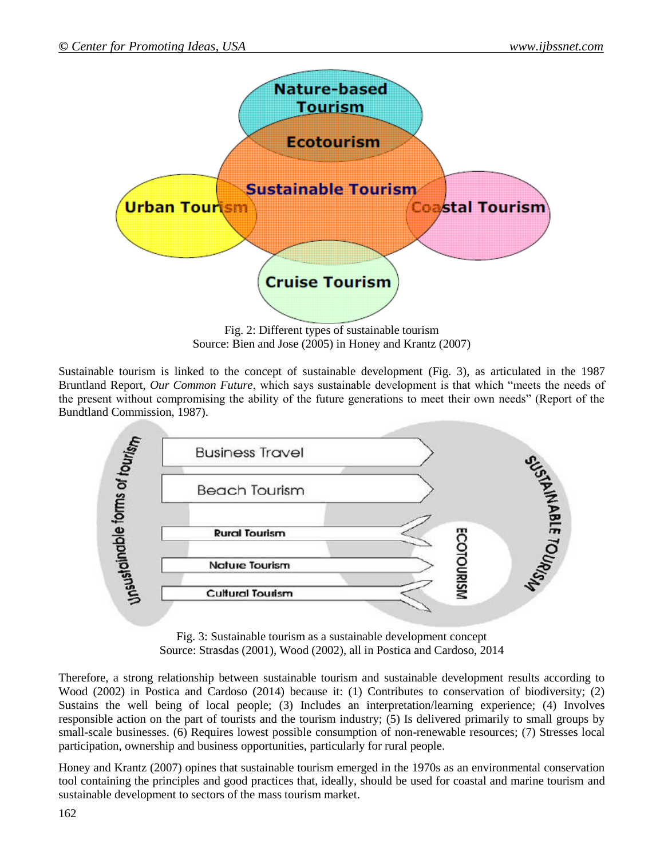

Fig. 2: Different types of sustainable tourism Source: Bien and Jose (2005) in Honey and Krantz (2007)

Sustainable tourism is linked to the concept of sustainable development (Fig. 3), as articulated in the 1987 Bruntland Report, *Our Common Future*, which says sustainable development is that which "meets the needs of the present without compromising the ability of the future generations to meet their own needs" (Report of the Bundtland Commission, 1987).



Fig. 3: Sustainable tourism as a sustainable development concept Source: Strasdas (2001), Wood (2002), all in Postica and Cardoso, 2014

Therefore, a strong relationship between sustainable tourism and sustainable development results according to Wood (2002) in Postica and Cardoso (2014) because it: (1) Contributes to conservation of biodiversity; (2) Sustains the well being of local people; (3) Includes an interpretation/learning experience; (4) Involves responsible action on the part of tourists and the tourism industry; (5) Is delivered primarily to small groups by small-scale businesses. (6) Requires lowest possible consumption of non-renewable resources; (7) Stresses local participation, ownership and business opportunities, particularly for rural people.

Honey and Krantz (2007) opines that sustainable tourism emerged in the 1970s as an environmental conservation tool containing the principles and good practices that, ideally, should be used for coastal and marine tourism and sustainable development to sectors of the mass tourism market.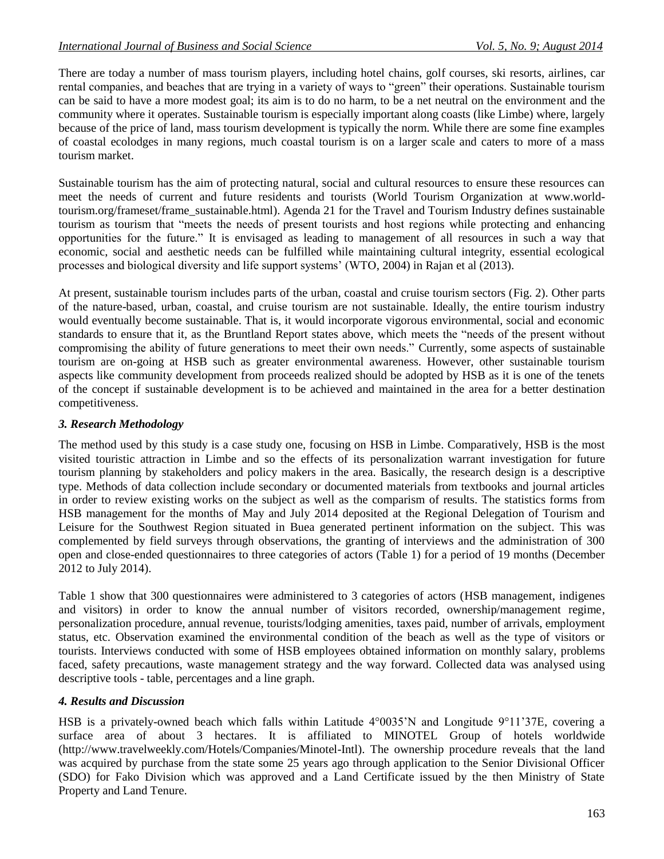There are today a number of mass tourism players, including hotel chains, golf courses, ski resorts, airlines, car rental companies, and beaches that are trying in a variety of ways to "green" their operations. Sustainable tourism can be said to have a more modest goal; its aim is to do no harm, to be a net neutral on the environment and the community where it operates. Sustainable tourism is especially important along coasts (like Limbe) where, largely because of the price of land, mass tourism development is typically the norm. While there are some fine examples of coastal ecolodges in many regions, much coastal tourism is on a larger scale and caters to more of a mass tourism market.

Sustainable tourism has the aim of protecting natural, social and cultural resources to ensure these resources can meet the needs of current and future residents and tourists (World Tourism Organization at www.worldtourism.org/frameset/frame\_sustainable.html). Agenda 21 for the Travel and Tourism Industry defines sustainable tourism as tourism that "meets the needs of present tourists and host regions while protecting and enhancing opportunities for the future." It is envisaged as leading to management of all resources in such a way that economic, social and aesthetic needs can be fulfilled while maintaining cultural integrity, essential ecological processes and biological diversity and life support systems' (WTO, 2004) in Rajan et al (2013).

At present, sustainable tourism includes parts of the urban, coastal and cruise tourism sectors (Fig. 2). Other parts of the nature-based, urban, coastal, and cruise tourism are not sustainable. Ideally, the entire tourism industry would eventually become sustainable. That is, it would incorporate vigorous environmental, social and economic standards to ensure that it, as the Bruntland Report states above, which meets the "needs of the present without compromising the ability of future generations to meet their own needs." Currently, some aspects of sustainable tourism are on-going at HSB such as greater environmental awareness. However, other sustainable tourism aspects like community development from proceeds realized should be adopted by HSB as it is one of the tenets of the concept if sustainable development is to be achieved and maintained in the area for a better destination competitiveness.

## *3. Research Methodology*

The method used by this study is a case study one, focusing on HSB in Limbe. Comparatively, HSB is the most visited touristic attraction in Limbe and so the effects of its personalization warrant investigation for future tourism planning by stakeholders and policy makers in the area. Basically, the research design is a descriptive type. Methods of data collection include secondary or documented materials from textbooks and journal articles in order to review existing works on the subject as well as the comparism of results. The statistics forms from HSB management for the months of May and July 2014 deposited at the Regional Delegation of Tourism and Leisure for the Southwest Region situated in Buea generated pertinent information on the subject. This was complemented by field surveys through observations, the granting of interviews and the administration of 300 open and close-ended questionnaires to three categories of actors (Table 1) for a period of 19 months (December 2012 to July 2014).

Table 1 show that 300 questionnaires were administered to 3 categories of actors (HSB management, indigenes and visitors) in order to know the annual number of visitors recorded, ownership/management regime, personalization procedure, annual revenue, tourists/lodging amenities, taxes paid, number of arrivals, employment status, etc. Observation examined the environmental condition of the beach as well as the type of visitors or tourists. Interviews conducted with some of HSB employees obtained information on monthly salary, problems faced, safety precautions, waste management strategy and the way forward. Collected data was analysed using descriptive tools - table, percentages and a line graph.

### *4. Results and Discussion*

HSB is a privately-owned beach which falls within Latitude 4°0035'N and Longitude 9°11'37E, covering a surface area of about 3 hectares. It is affiliated to MINOTEL Group of hotels worldwide (http://www.travelweekly.com/Hotels/Companies/Minotel-Intl). The ownership procedure reveals that the land was acquired by purchase from the state some 25 years ago through application to the Senior Divisional Officer (SDO) for Fako Division which was approved and a Land Certificate issued by the then Ministry of State Property and Land Tenure.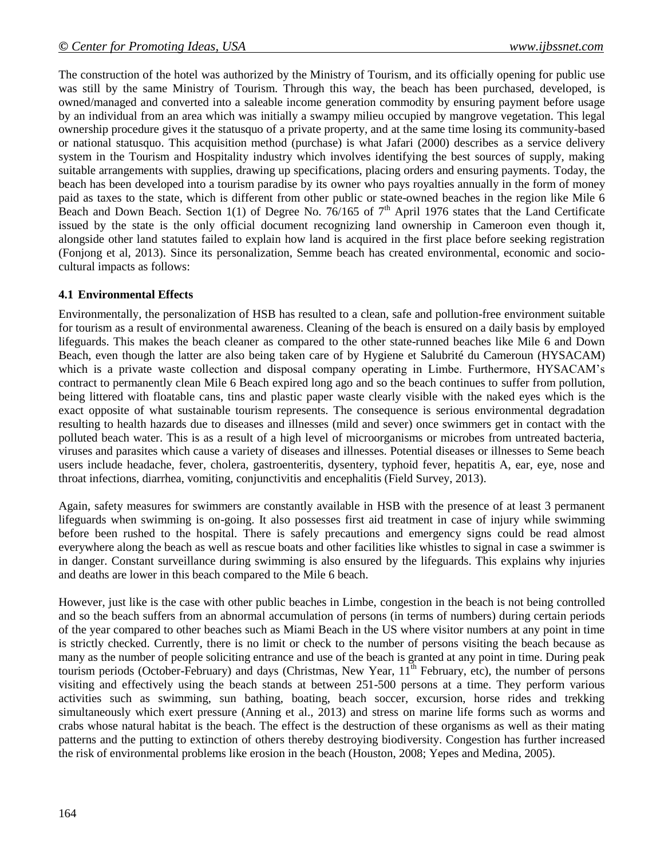The construction of the hotel was authorized by the Ministry of Tourism, and its officially opening for public use was still by the same Ministry of Tourism. Through this way, the beach has been purchased, developed, is owned/managed and converted into a saleable income generation commodity by ensuring payment before usage by an individual from an area which was initially a swampy milieu occupied by mangrove vegetation. This legal ownership procedure gives it the statusquo of a private property, and at the same time losing its community-based or national statusquo. This acquisition method (purchase) is what Jafari (2000) describes as a service delivery system in the Tourism and Hospitality industry which involves identifying the best sources of supply, making suitable arrangements with supplies, drawing up specifications, placing orders and ensuring payments. Today, the beach has been developed into a tourism paradise by its owner who pays royalties annually in the form of money paid as taxes to the state, which is different from other public or state-owned beaches in the region like Mile 6 Beach and Down Beach. Section 1(1) of Degree No. 76/165 of  $7<sup>th</sup>$  April 1976 states that the Land Certificate issued by the state is the only official document recognizing land ownership in Cameroon even though it, alongside other land statutes failed to explain how land is acquired in the first place before seeking registration (Fonjong et al, 2013). Since its personalization, Semme beach has created environmental, economic and sociocultural impacts as follows:

### **4.1 Environmental Effects**

Environmentally, the personalization of HSB has resulted to a clean, safe and pollution-free environment suitable for tourism as a result of environmental awareness. Cleaning of the beach is ensured on a daily basis by employed lifeguards. This makes the beach cleaner as compared to the other state-runned beaches like Mile 6 and Down Beach, even though the latter are also being taken care of by Hygiene et Salubrité du Cameroun (HYSACAM) which is a private waste collection and disposal company operating in Limbe. Furthermore, HYSACAM's contract to permanently clean Mile 6 Beach expired long ago and so the beach continues to suffer from pollution, being littered with floatable cans, tins and plastic paper waste clearly visible with the naked eyes which is the exact opposite of what sustainable tourism represents. The consequence is serious environmental degradation resulting to health hazards due to diseases and illnesses (mild and sever) once swimmers get in contact with the polluted beach water. This is as a result of a high level of microorganisms or microbes from untreated bacteria, viruses and parasites which cause a variety of diseases and illnesses. Potential diseases or illnesses to Seme beach users include headache, fever, cholera, gastroenteritis, dysentery, typhoid fever, hepatitis A, ear, eye, nose and throat infections, diarrhea, vomiting, conjunctivitis and encephalitis (Field Survey, 2013).

Again, safety measures for swimmers are constantly available in HSB with the presence of at least 3 permanent lifeguards when swimming is on-going. It also possesses first aid treatment in case of injury while swimming before been rushed to the hospital. There is safely precautions and emergency signs could be read almost everywhere along the beach as well as rescue boats and other facilities like whistles to signal in case a swimmer is in danger. Constant surveillance during swimming is also ensured by the lifeguards. This explains why injuries and deaths are lower in this beach compared to the Mile 6 beach.

However, just like is the case with other public beaches in Limbe, congestion in the beach is not being controlled and so the beach suffers from an abnormal accumulation of persons (in terms of numbers) during certain periods of the year compared to other beaches such as Miami Beach in the US where visitor numbers at any point in time is strictly checked. Currently, there is no limit or check to the number of persons visiting the beach because as many as the number of people soliciting entrance and use of the beach is granted at any point in time. During peak tourism periods (October-February) and days (Christmas, New Year,  $11<sup>th</sup>$  February, etc), the number of persons visiting and effectively using the beach stands at between 251-500 persons at a time. They perform various activities such as swimming, sun bathing, boating, beach soccer, excursion, horse rides and trekking simultaneously which exert pressure (Anning et al., 2013) and stress on marine life forms such as worms and crabs whose natural habitat is the beach. The effect is the destruction of these organisms as well as their mating patterns and the putting to extinction of others thereby destroying biodiversity. Congestion has further increased the risk of environmental problems like erosion in the beach (Houston, 2008; Yepes and Medina, 2005).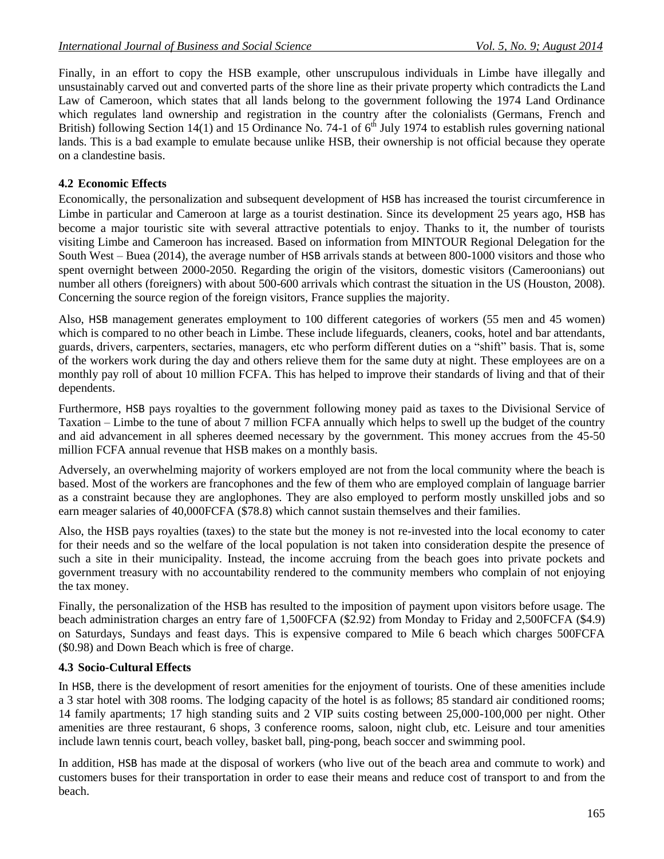Finally, in an effort to copy the HSB example, other unscrupulous individuals in Limbe have illegally and unsustainably carved out and converted parts of the shore line as their private property which contradicts the Land Law of Cameroon, which states that all lands belong to the government following the 1974 Land Ordinance which regulates land ownership and registration in the country after the colonialists (Germans, French and British) following Section 14(1) and 15 Ordinance No. 74-1 of  $6<sup>th</sup>$  July 1974 to establish rules governing national lands. This is a bad example to emulate because unlike HSB, their ownership is not official because they operate on a clandestine basis.

### **4.2 Economic Effects**

Economically, the personalization and subsequent development of HSB has increased the tourist circumference in Limbe in particular and Cameroon at large as a tourist destination. Since its development 25 years ago, HSB has become a major touristic site with several attractive potentials to enjoy. Thanks to it, the number of tourists visiting Limbe and Cameroon has increased. Based on information from MINTOUR Regional Delegation for the South West – Buea (2014), the average number of HSB arrivals stands at between 800-1000 visitors and those who spent overnight between 2000-2050. Regarding the origin of the visitors, domestic visitors (Cameroonians) out number all others (foreigners) with about 500-600 arrivals which contrast the situation in the US (Houston, 2008). Concerning the source region of the foreign visitors, France supplies the majority.

Also, HSB management generates employment to 100 different categories of workers (55 men and 45 women) which is compared to no other beach in Limbe. These include lifeguards, cleaners, cooks, hotel and bar attendants, guards, drivers, carpenters, sectaries, managers, etc who perform different duties on a "shift" basis. That is, some of the workers work during the day and others relieve them for the same duty at night. These employees are on a monthly pay roll of about 10 million FCFA. This has helped to improve their standards of living and that of their dependents.

Furthermore, HSB pays royalties to the government following money paid as taxes to the Divisional Service of Taxation – Limbe to the tune of about 7 million FCFA annually which helps to swell up the budget of the country and aid advancement in all spheres deemed necessary by the government. This money accrues from the 45-50 million FCFA annual revenue that HSB makes on a monthly basis.

Adversely, an overwhelming majority of workers employed are not from the local community where the beach is based. Most of the workers are francophones and the few of them who are employed complain of language barrier as a constraint because they are anglophones. They are also employed to perform mostly unskilled jobs and so earn meager salaries of 40,000FCFA (\$78.8) which cannot sustain themselves and their families.

Also, the HSB pays royalties (taxes) to the state but the money is not re-invested into the local economy to cater for their needs and so the welfare of the local population is not taken into consideration despite the presence of such a site in their municipality. Instead, the income accruing from the beach goes into private pockets and government treasury with no accountability rendered to the community members who complain of not enjoying the tax money.

Finally, the personalization of the HSB has resulted to the imposition of payment upon visitors before usage. The beach administration charges an entry fare of 1,500FCFA (\$2.92) from Monday to Friday and 2,500FCFA (\$4.9) on Saturdays, Sundays and feast days. This is expensive compared to Mile 6 beach which charges 500FCFA (\$0.98) and Down Beach which is free of charge.

### **4.3 Socio-Cultural Effects**

In HSB, there is the development of resort amenities for the enjoyment of tourists. One of these amenities include a 3 star hotel with 308 rooms. The lodging capacity of the hotel is as follows; 85 standard air conditioned rooms; 14 family apartments; 17 high standing suits and 2 VIP suits costing between 25,000-100,000 per night. Other amenities are three restaurant, 6 shops, 3 conference rooms, saloon, night club, etc. Leisure and tour amenities include lawn tennis court, beach volley, basket ball, ping-pong, beach soccer and swimming pool.

In addition, HSB has made at the disposal of workers (who live out of the beach area and commute to work) and customers buses for their transportation in order to ease their means and reduce cost of transport to and from the beach.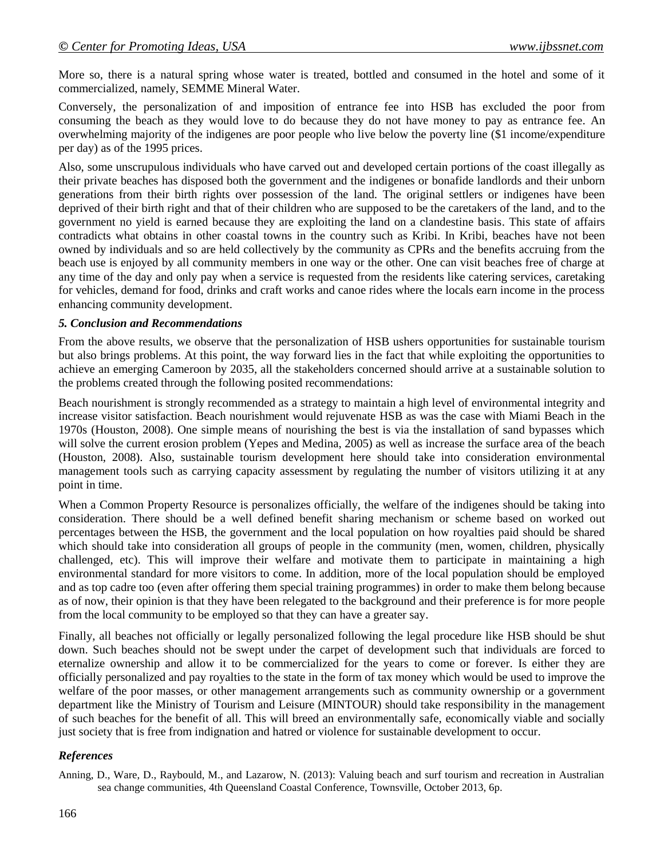More so, there is a natural spring whose water is treated, bottled and consumed in the hotel and some of it commercialized, namely, SEMME Mineral Water.

Conversely, the personalization of and imposition of entrance fee into HSB has excluded the poor from consuming the beach as they would love to do because they do not have money to pay as entrance fee. An overwhelming majority of the indigenes are poor people who live below the poverty line (\$1 income/expenditure per day) as of the 1995 prices.

Also, some unscrupulous individuals who have carved out and developed certain portions of the coast illegally as their private beaches has disposed both the government and the indigenes or bonafide landlords and their unborn generations from their birth rights over possession of the land. The original settlers or indigenes have been deprived of their birth right and that of their children who are supposed to be the caretakers of the land, and to the government no yield is earned because they are exploiting the land on a clandestine basis. This state of affairs contradicts what obtains in other coastal towns in the country such as Kribi. In Kribi, beaches have not been owned by individuals and so are held collectively by the community as CPRs and the benefits accruing from the beach use is enjoyed by all community members in one way or the other. One can visit beaches free of charge at any time of the day and only pay when a service is requested from the residents like catering services, caretaking for vehicles, demand for food, drinks and craft works and canoe rides where the locals earn income in the process enhancing community development.

### *5. Conclusion and Recommendations*

From the above results, we observe that the personalization of HSB ushers opportunities for sustainable tourism but also brings problems. At this point, the way forward lies in the fact that while exploiting the opportunities to achieve an emerging Cameroon by 2035, all the stakeholders concerned should arrive at a sustainable solution to the problems created through the following posited recommendations:

Beach nourishment is strongly recommended as a strategy to maintain a high level of environmental integrity and increase visitor satisfaction. Beach nourishment would rejuvenate HSB as was the case with Miami Beach in the 1970s (Houston, 2008). One simple means of nourishing the best is via the installation of sand bypasses which will solve the current erosion problem (Yepes and Medina, 2005) as well as increase the surface area of the beach (Houston, 2008). Also, sustainable tourism development here should take into consideration environmental management tools such as carrying capacity assessment by regulating the number of visitors utilizing it at any point in time.

When a Common Property Resource is personalizes officially, the welfare of the indigenes should be taking into consideration. There should be a well defined benefit sharing mechanism or scheme based on worked out percentages between the HSB, the government and the local population on how royalties paid should be shared which should take into consideration all groups of people in the community (men, women, children, physically challenged, etc). This will improve their welfare and motivate them to participate in maintaining a high environmental standard for more visitors to come. In addition, more of the local population should be employed and as top cadre too (even after offering them special training programmes) in order to make them belong because as of now, their opinion is that they have been relegated to the background and their preference is for more people from the local community to be employed so that they can have a greater say.

Finally, all beaches not officially or legally personalized following the legal procedure like HSB should be shut down. Such beaches should not be swept under the carpet of development such that individuals are forced to eternalize ownership and allow it to be commercialized for the years to come or forever. Is either they are officially personalized and pay royalties to the state in the form of tax money which would be used to improve the welfare of the poor masses, or other management arrangements such as community ownership or a government department like the Ministry of Tourism and Leisure (MINTOUR) should take responsibility in the management of such beaches for the benefit of all. This will breed an environmentally safe, economically viable and socially just society that is free from indignation and hatred or violence for sustainable development to occur.

### *References*

Anning, D., Ware, D., Raybould, M., and Lazarow, N. (2013): Valuing beach and surf tourism and recreation in Australian sea change communities, 4th Queensland Coastal Conference, Townsville, October 2013, 6p.